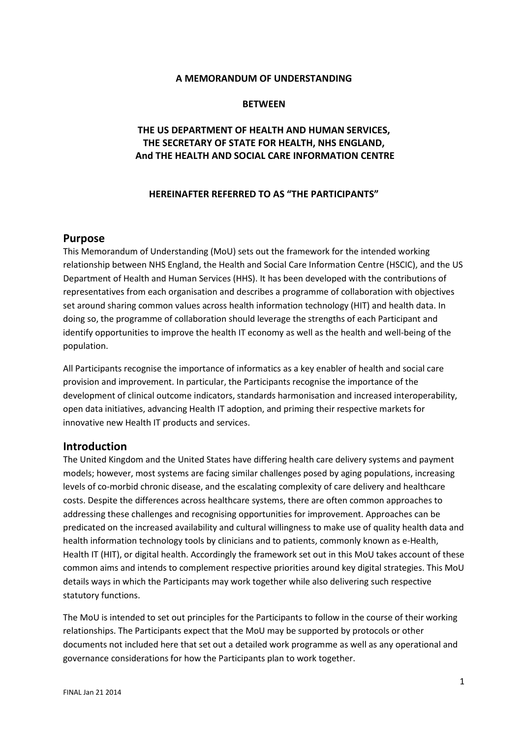#### **A MEMORANDUM OF UNDERSTANDING**

#### **BETWEEN**

## **THE US DEPARTMENT OF HEALTH AND HUMAN SERVICES, THE SECRETARY OF STATE FOR HEALTH, NHS ENGLAND, And THE HEALTH AND SOCIAL CARE INFORMATION CENTRE**

#### **HEREINAFTER REFERRED TO AS "THE PARTICIPANTS"**

#### **Purpose**

This Memorandum of Understanding (MoU) sets out the framework for the intended working relationship between NHS England, the Health and Social Care Information Centre (HSCIC), and the US Department of Health and Human Services (HHS). It has been developed with the contributions of representatives from each organisation and describes a programme of collaboration with objectives set around sharing common values across health information technology (HIT) and health data. In doing so, the programme of collaboration should leverage the strengths of each Participant and identify opportunities to improve the health IT economy as well as the health and well-being of the population.

All Participants recognise the importance of informatics as a key enabler of health and social care provision and improvement. In particular, the Participants recognise the importance of the development of clinical outcome indicators, standards harmonisation and increased interoperability, open data initiatives, advancing Health IT adoption, and priming their respective markets for innovative new Health IT products and services.

#### **Introduction**

The United Kingdom and the United States have differing health care delivery systems and payment models; however, most systems are facing similar challenges posed by aging populations, increasing levels of co-morbid chronic disease, and the escalating complexity of care delivery and healthcare costs. Despite the differences across healthcare systems, there are often common approaches to addressing these challenges and recognising opportunities for improvement. Approaches can be predicated on the increased availability and cultural willingness to make use of quality health data and health information technology tools by clinicians and to patients, commonly known as e-Health, Health IT (HIT), or digital health. Accordingly the framework set out in this MoU takes account of these common aims and intends to complement respective priorities around key digital strategies. This MoU details ways in which the Participants may work together while also delivering such respective statutory functions.

The MoU is intended to set out principles for the Participants to follow in the course of their working relationships. The Participants expect that the MoU may be supported by protocols or other documents not included here that set out a detailed work programme as well as any operational and governance considerations for how the Participants plan to work together.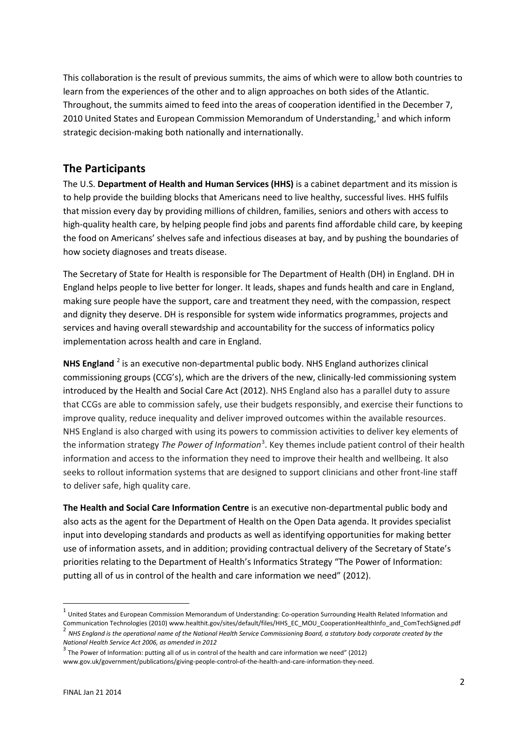This collaboration is the result of previous summits, the aims of which were to allow both countries to learn from the experiences of the other and to align approaches on both sides of the Atlantic. Throughout, the summits aimed to feed into the areas of cooperation identified in the December 7, 20[1](#page-1-0)0 United States and European Commission Memorandum of Understanding, $<sup>1</sup>$  and which inform</sup> strategic decision-making both nationally and internationally.

# **The Participants**

The U.S. **Department of Health and Human Services (HHS)** is a cabinet department and its mission is to help provide the building blocks that Americans need to live healthy, successful lives. HHS fulfils that mission every day by providing millions of children, families, seniors and others with access to high-quality health care, by helping people find jobs and parents find affordable child care, by keeping the food on Americans' shelves safe and infectious diseases at bay, and by pushing the boundaries of how society diagnoses and treats disease.

The Secretary of State for Health is responsible for The Department of Health (DH) in England. DH in England helps people to live better for longer. It leads, shapes and funds health and care in England, making sure people have the support, care and treatment they need, with the compassion, respect and dignity they deserve. DH is responsible for system wide informatics programmes, projects and services and having overall stewardship and accountability for the success of informatics policy implementation across health and care in England.

**NHS England** [2](#page-1-1) is an executive non-departmental public body. NHS England authorizes clinical commissioning groups (CCG's), which are the drivers of the new, clinically-led commissioning system introduced by the Health and Social Care Act (2012). NHS England also has a parallel duty to assure that CCGs are able to commission safely, use their budgets responsibly, and exercise their functions to improve quality, reduce inequality and deliver improved outcomes within the available resources. NHS England is also charged with using its powers to commission activities to deliver key elements of the information strategy *The Power of Information*<sup>[3](#page-1-2)</sup>. Key themes include patient control of their health information and access to the information they need to improve their health and wellbeing. It also seeks to rollout information systems that are designed to support clinicians and other front-line staff to deliver safe, high quality care.

**The Health and Social Care Information Centre** is an executive non-departmental public body and also acts as the agent for the Department of Health on the Open Data agenda. It provides specialist input into developing standards and products as well as identifying opportunities for making better use of information assets, and in addition; providing contractual delivery of the Secretary of State's priorities relating to the Department of Health's Informatics Strategy "The Power of Information: putting all of us in control of the health and care information we need" (2012).

<span id="page-1-1"></span><span id="page-1-0"></span> $1$  United States and European Commission Memorandum of Understanding: Co-operation Surrounding Health Related Information and Communication Technologies (2010) [www.healthit.gov/sites/default/files/HHS\\_EC\\_MOU\\_CooperationHealthInfo\\_and\\_ComTechSigned.pdf](http://www.healthit.gov/sites/default/files/HHS_EC_MOU_CooperationHealthInfo_and_ComTechSigned.pdf)  $^2$  NHS England is the operational name of the National Health Service Commissioning Board, a *National Health Service Act 2006, as amended in 2012*

<span id="page-1-2"></span> $3$  The Power of Information: putting all of us in control of the health and care information we need" (2012)

[www.gov.uk/government/publications/giving-people-control-of-the-health-and-care-information-they-need.](http://www.gov.uk/government/publications/giving-people-control-of-the-health-and-care-information-they-need)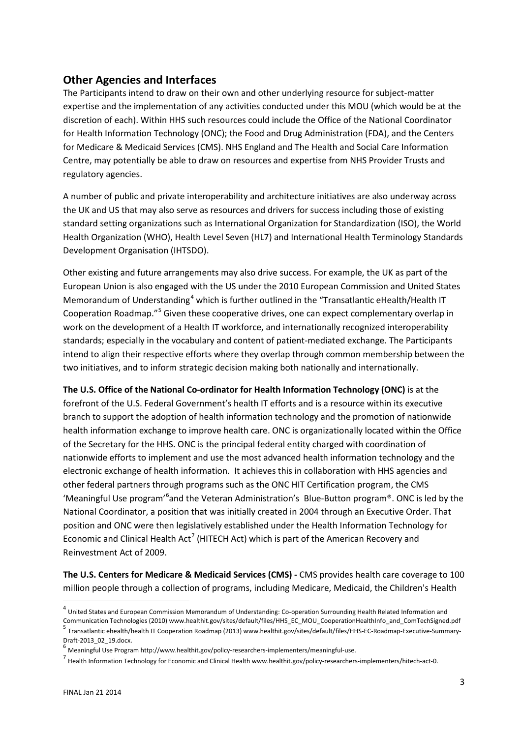# **Other Agencies and Interfaces**

The Participants intend to draw on their own and other underlying resource for subject-matter expertise and the implementation of any activities conducted under this MOU (which would be at the discretion of each). Within HHS such resources could include the Office of the National Coordinator for Health Information Technology (ONC); the Food and Drug Administration (FDA), and the Centers for Medicare & Medicaid Services (CMS). NHS England and The Health and Social Care Information Centre, may potentially be able to draw on resources and expertise from NHS Provider Trusts and regulatory agencies.

A number of public and private interoperability and architecture initiatives are also underway across the UK and US that may also serve as resources and drivers for success including those of existing standard setting organizations such as International Organization for Standardization (ISO), the World Health Organization (WHO), Health Level Seven (HL7) and International Health Terminology Standards Development Organisation (IHTSDO).

Other existing and future arrangements may also drive success. For example, the UK as part of the European Union is also engaged with the US under the 2010 European Commission and United States Memorandum of Understanding<sup>[4](#page-2-0)</sup> which is further outlined in the "Transatlantic eHealth/Health IT Cooperation Roadmap."[5](#page-2-1) Given these cooperative drives, one can expect complementary overlap in work on the development of a Health IT workforce, and internationally recognized interoperability standards; especially in the vocabulary and content of patient-mediated exchange. The Participants intend to align their respective efforts where they overlap through common membership between the two initiatives, and to inform strategic decision making both nationally and internationally.

**The U.S. Office of the National Co-ordinator for Health Information Technology (ONC)** is at the forefront of the U.S. Federal Government's health IT efforts and is a resource within its executive branch to support the adoption of health information technology and the promotion of nationwide health information exchange to improve health care. ONC is organizationally located within the Office of the Secretary for the HHS. ONC is the principal federal entity charged with coordination of nationwide efforts to implement and use the most advanced health information technology and the electronic exchange of health information. It achieves this in collaboration with HHS agencies and other federal partners through programs such as the ONC HIT Certification program, the CMS 'Meaningful Use program'<sup>[6](#page-2-2)</sup>and the Veteran Administration's Blue-Button program®. ONC is led by the National Coordinator, a position that was initially created in 2004 through an Executive Order. That position and ONC were then legislatively established under the Health Information Technology for Economic and Clinical Health Act<sup>[7](#page-2-3)</sup> (HITECH Act) which is part of the American Recovery and Reinvestment Act of 2009.

**The U.S. Centers for Medicare & Medicaid Services (CMS) -** CMS provides health care coverage to 100 million people through a collection of programs, including Medicare, Medicaid, the Children's Health

 $\overline{\phantom{a}}$ 

<span id="page-2-0"></span> $^4$  United States and European Commission Memorandum of Understanding: Co-operation Surrounding Health Related Information and<br>Communication Technologies (2010) www.healthit.gov/sites/default/files/HHS\_EC\_MOU\_Cooperation Transatlantic ehealth/health IT Cooperation Roadmap (2013[\) www.healthit.gov/sites/default/files/HHS-EC-Roadmap-Executive-Summary-](http://www.healthit.gov/sites/default/files/HHS-EC-Roadmap-Executive-Summary-Draft-2013_02_19.docx)

<span id="page-2-1"></span>

<span id="page-2-3"></span><span id="page-2-2"></span>

Draft-2013\_02\_19.docx.<br><sup>6</sup> Meaningful Use Program http://www.healthit.gov/policy-researchers-implementers/meaningful-use.<br><sup>7</sup> Health Information Technology for Economic and Clinical Health www.healthit.gov/policy-research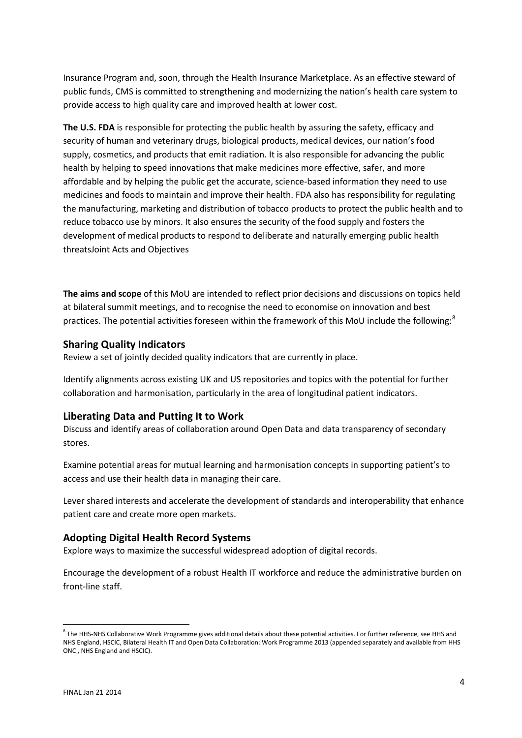Insurance Program and, soon, through the Health Insurance Marketplace. As an effective steward of public funds, CMS is committed to strengthening and modernizing the nation's health care system to provide access to high quality care and improved health at lower cost.

**The U.S. FDA** is responsible for protecting the public health by assuring the safety, efficacy and security of human and veterinary drugs, biological products, medical devices, our nation's food supply, cosmetics, and products that emit radiation. It is also responsible for advancing the public health by helping to speed innovations that make medicines more effective, safer, and more affordable and by helping the public get the accurate, science-based information they need to use medicines and foods to maintain and improve their health. FDA also has responsibility for regulating the manufacturing, marketing and distribution of tobacco products to protect the public health and to reduce tobacco use by minors. It also ensures the security of the food supply and fosters the development of medical products to respond to deliberate and naturally emerging public health threatsJoint Acts and Objectives

**The aims and scope** of this MoU are intended to reflect prior decisions and discussions on topics held at bilateral summit meetings, and to recognise the need to economise on innovation and best practices. The potential activities foreseen within the framework of this MoU include the following:<sup>[8](#page-3-0)</sup>

### **Sharing Quality Indicators**

Review a set of jointly decided quality indicators that are currently in place.

Identify alignments across existing UK and US repositories and topics with the potential for further collaboration and harmonisation, particularly in the area of longitudinal patient indicators.

#### **Liberating Data and Putting It to Work**

Discuss and identify areas of collaboration around Open Data and data transparency of secondary stores.

Examine potential areas for mutual learning and harmonisation concepts in supporting patient's to access and use their health data in managing their care.

Lever shared interests and accelerate the development of standards and interoperability that enhance patient care and create more open markets.

#### **Adopting Digital Health Record Systems**

Explore ways to maximize the successful widespread adoption of digital records.

Encourage the development of a robust Health IT workforce and reduce the administrative burden on front-line staff.

**.** 

<span id="page-3-0"></span> $8$  The HHS-NHS Collaborative Work Programme gives additional details about these potential activities. For further reference, see HHS and NHS England, HSCIC, Bilateral Health IT and Open Data Collaboration: Work Programme 2013 (appended separately and available from HHS ONC , NHS England and HSCIC).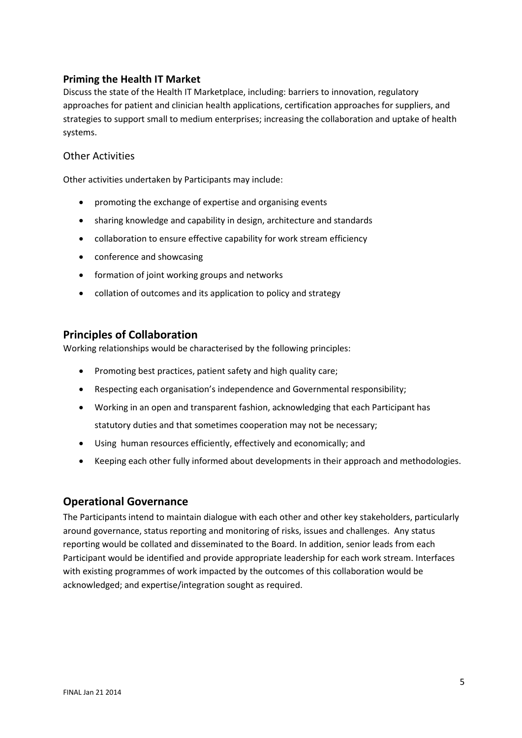### **Priming the Health IT Market**

Discuss the state of the Health IT Marketplace, including: barriers to innovation, regulatory approaches for patient and clinician health applications, certification approaches for suppliers, and strategies to support small to medium enterprises; increasing the collaboration and uptake of health systems.

### Other Activities

Other activities undertaken by Participants may include:

- promoting the exchange of expertise and organising events
- sharing knowledge and capability in design, architecture and standards
- collaboration to ensure effective capability for work stream efficiency
- conference and showcasing
- formation of joint working groups and networks
- collation of outcomes and its application to policy and strategy

### **Principles of Collaboration**

Working relationships would be characterised by the following principles:

- Promoting best practices, patient safety and high quality care;
- Respecting each organisation's independence and Governmental responsibility;
- Working in an open and transparent fashion, acknowledging that each Participant has statutory duties and that sometimes cooperation may not be necessary;
- Using human resources efficiently, effectively and economically; and
- Keeping each other fully informed about developments in their approach and methodologies.

# **Operational Governance**

The Participants intend to maintain dialogue with each other and other key stakeholders, particularly around governance, status reporting and monitoring of risks, issues and challenges. Any status reporting would be collated and disseminated to the Board. In addition, senior leads from each Participant would be identified and provide appropriate leadership for each work stream. Interfaces with existing programmes of work impacted by the outcomes of this collaboration would be acknowledged; and expertise/integration sought as required.